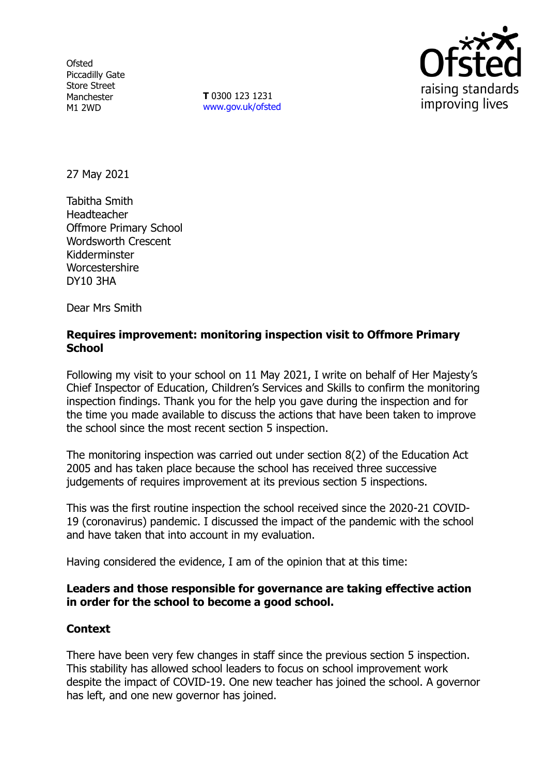**Ofsted** Piccadilly Gate Store Street Manchester M1 2WD

**T** 0300 123 1231 [www.gov.uk/ofsted](http://www.gov.uk/ofsted)



27 May 2021

Tabitha Smith Headteacher Offmore Primary School Wordsworth Crescent Kidderminster **Worcestershire** DY10 3HA

Dear Mrs Smith

#### **Requires improvement: monitoring inspection visit to Offmore Primary School**

Following my visit to your school on 11 May 2021, I write on behalf of Her Majesty's Chief Inspector of Education, Children's Services and Skills to confirm the monitoring inspection findings. Thank you for the help you gave during the inspection and for the time you made available to discuss the actions that have been taken to improve the school since the most recent section 5 inspection.

The monitoring inspection was carried out under section 8(2) of the Education Act 2005 and has taken place because the school has received three successive judgements of requires improvement at its previous section 5 inspections.

This was the first routine inspection the school received since the 2020-21 COVID-19 (coronavirus) pandemic. I discussed the impact of the pandemic with the school and have taken that into account in my evaluation.

Having considered the evidence, I am of the opinion that at this time:

### **Leaders and those responsible for governance are taking effective action in order for the school to become a good school.**

### **Context**

There have been very few changes in staff since the previous section 5 inspection. This stability has allowed school leaders to focus on school improvement work despite the impact of COVID-19. One new teacher has joined the school. A governor has left, and one new governor has joined.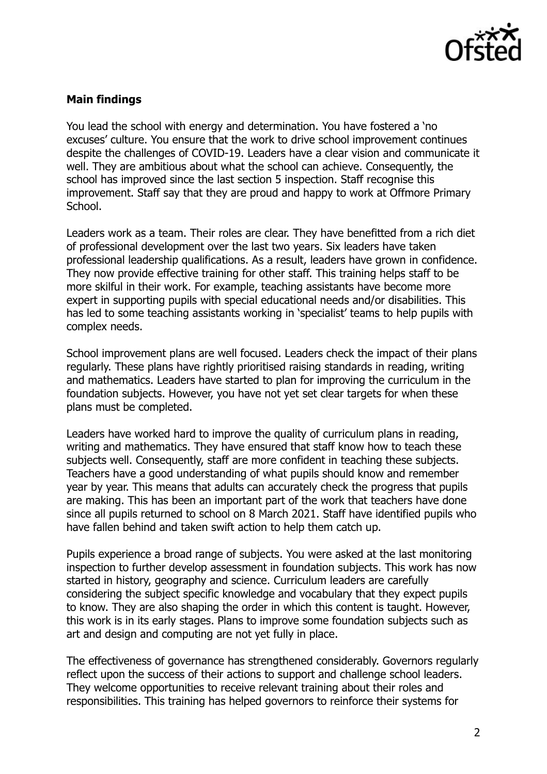

# **Main findings**

You lead the school with energy and determination. You have fostered a 'no excuses' culture. You ensure that the work to drive school improvement continues despite the challenges of COVID-19. Leaders have a clear vision and communicate it well. They are ambitious about what the school can achieve. Consequently, the school has improved since the last section 5 inspection. Staff recognise this improvement. Staff say that they are proud and happy to work at Offmore Primary School.

Leaders work as a team. Their roles are clear. They have benefitted from a rich diet of professional development over the last two years. Six leaders have taken professional leadership qualifications. As a result, leaders have grown in confidence. They now provide effective training for other staff. This training helps staff to be more skilful in their work. For example, teaching assistants have become more expert in supporting pupils with special educational needs and/or disabilities. This has led to some teaching assistants working in 'specialist' teams to help pupils with complex needs.

School improvement plans are well focused. Leaders check the impact of their plans regularly. These plans have rightly prioritised raising standards in reading, writing and mathematics. Leaders have started to plan for improving the curriculum in the foundation subjects. However, you have not yet set clear targets for when these plans must be completed.

Leaders have worked hard to improve the quality of curriculum plans in reading, writing and mathematics. They have ensured that staff know how to teach these subjects well. Consequently, staff are more confident in teaching these subjects. Teachers have a good understanding of what pupils should know and remember year by year. This means that adults can accurately check the progress that pupils are making. This has been an important part of the work that teachers have done since all pupils returned to school on 8 March 2021. Staff have identified pupils who have fallen behind and taken swift action to help them catch up.

Pupils experience a broad range of subjects. You were asked at the last monitoring inspection to further develop assessment in foundation subjects. This work has now started in history, geography and science. Curriculum leaders are carefully considering the subject specific knowledge and vocabulary that they expect pupils to know. They are also shaping the order in which this content is taught. However, this work is in its early stages. Plans to improve some foundation subjects such as art and design and computing are not yet fully in place.

The effectiveness of governance has strengthened considerably. Governors regularly reflect upon the success of their actions to support and challenge school leaders. They welcome opportunities to receive relevant training about their roles and responsibilities. This training has helped governors to reinforce their systems for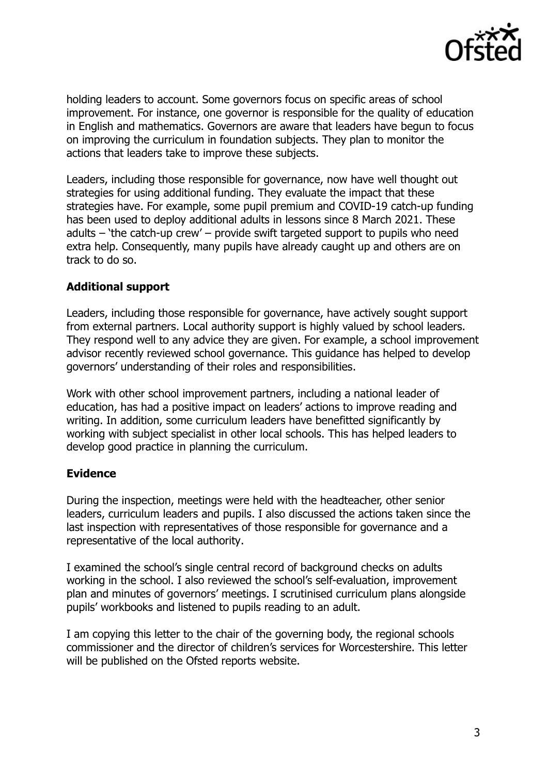

holding leaders to account. Some governors focus on specific areas of school improvement. For instance, one governor is responsible for the quality of education in English and mathematics. Governors are aware that leaders have begun to focus on improving the curriculum in foundation subjects. They plan to monitor the actions that leaders take to improve these subjects.

Leaders, including those responsible for governance, now have well thought out strategies for using additional funding. They evaluate the impact that these strategies have. For example, some pupil premium and COVID-19 catch-up funding has been used to deploy additional adults in lessons since 8 March 2021. These adults – 'the catch-up crew' – provide swift targeted support to pupils who need extra help. Consequently, many pupils have already caught up and others are on track to do so.

# **Additional support**

Leaders, including those responsible for governance, have actively sought support from external partners. Local authority support is highly valued by school leaders. They respond well to any advice they are given. For example, a school improvement advisor recently reviewed school governance. This guidance has helped to develop governors' understanding of their roles and responsibilities.

Work with other school improvement partners, including a national leader of education, has had a positive impact on leaders' actions to improve reading and writing. In addition, some curriculum leaders have benefitted significantly by working with subject specialist in other local schools. This has helped leaders to develop good practice in planning the curriculum.

### **Evidence**

During the inspection, meetings were held with the headteacher, other senior leaders, curriculum leaders and pupils. I also discussed the actions taken since the last inspection with representatives of those responsible for governance and a representative of the local authority.

I examined the school's single central record of background checks on adults working in the school. I also reviewed the school's self-evaluation, improvement plan and minutes of governors' meetings. I scrutinised curriculum plans alongside pupils' workbooks and listened to pupils reading to an adult.

I am copying this letter to the chair of the governing body, the regional schools commissioner and the director of children's services for Worcestershire. This letter will be published on the Ofsted reports website.